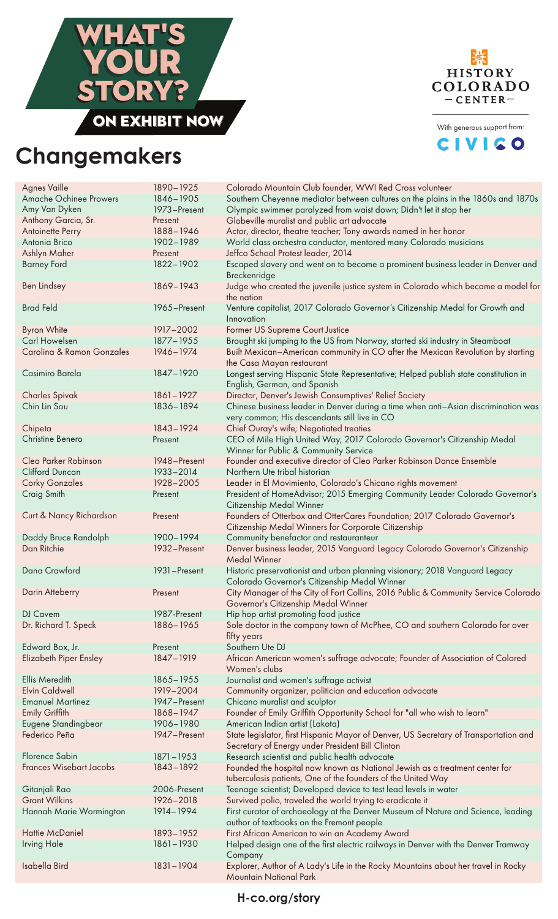



With generous support from:

## **Changemakers**



| <b>Agnes Vaille</b>            | 1890-1925     | Colorado Mountain Club founder, WWI Red Cross volunteer                                                                                     |
|--------------------------------|---------------|---------------------------------------------------------------------------------------------------------------------------------------------|
| Amache Ochinee Prowers         | 1846-1905     | Southern Cheyenne mediator between cultures on the plains in the 1860s and 1870s                                                            |
| Amy Van Dyken                  | 1973-Present  | Olympic swimmer paralyzed from waist down; Didn't let it stop her                                                                           |
| Anthony Garcia, Sr.            | Present       | Globeville muralist and public art advocate                                                                                                 |
| Antoinette Perry               | 1888-1946     | Actor, director, theatre teacher; Tony awards named in her honor                                                                            |
| Antonia Brico                  | 1902-1989     | World class orchestra conductor, mentored many Colorado musicians                                                                           |
| Ashlyn Maher                   | Present       | Jeffco School Protest leader, 2014                                                                                                          |
| <b>Barney Ford</b>             | 1822-1902     | Escaped slavery and went on to become a prominent business leader in Denver and<br>Breckenridge                                             |
| Ben Lindsey                    | 1869-1943     | Judge who created the juvenile justice system in Colorado which became a model for<br>the nation                                            |
| <b>Brad Feld</b>               | 1965-Present  | Venture capitalist, 2017 Colorado Governor's Citizenship Medal for Growth and<br>Innovation                                                 |
| <b>Byron White</b>             | 1917-2002     | Former US Supreme Court Justice                                                                                                             |
| <b>Carl Howelsen</b>           | 1877-1955     | Brought ski jumping to the US from Norway, started ski industry in Steamboat                                                                |
| Carolina & Ramon Gonzales      | 1946-1974     | Built Mexican-American community in CO after the Mexican Revolution by starting                                                             |
|                                |               | the Casa Mayan restaurant                                                                                                                   |
| Casimiro Barela                | 1847-1920     | Longest serving Hispanic State Representative; Helped publish state constitution in<br>English, German, and Spanish                         |
| <b>Charles Spivak</b>          | 1861-1927     | Director, Denver's Jewish Consumptives' Relief Society                                                                                      |
| Chin Lin Sou                   | 1836-1894     | Chinese business leader in Denver during a time when anti-Asian discrimination was                                                          |
|                                |               | very common; His descendants still live in CO                                                                                               |
| Chipeta                        | 1843-1924     | Chief Ouray's wife; Negotiated treaties                                                                                                     |
| Christine Benero               | Present       | CEO of Mile High United Way, 2017 Colorado Governor's Citizenship Medal<br>Winner for Public & Community Service                            |
| Cleo Parker Robinson           | 1948-Present  | Founder and executive director of Cleo Parker Robinson Dance Ensemble                                                                       |
| <b>Clifford Duncan</b>         | 1933-2014     | Northern Ute tribal historian                                                                                                               |
| <b>Corky Gonzales</b>          | 1928-2005     | Leader in El Movimiento, Colorado's Chicano rights movement                                                                                 |
| Craig Smith                    | Present       | President of HomeAdvisor; 2015 Emerging Community Leader Colorado Governor's                                                                |
|                                |               | Citizenship Medal Winner                                                                                                                    |
| Curt & Nancy Richardson        | Present       | Founders of Otterbox and OtterCares Foundation; 2017 Colorado Governor's<br>Citizenship Medal Winners for Corporate Citizenship             |
| Daddy Bruce Randolph           | 1900-1994     | Community benefactor and restauranteur                                                                                                      |
| Dan Ritchie                    | 1932-Present  | Denver business leader, 2015 Vanguard Legacy Colorado Governor's Citizenship<br><b>Medal Winner</b>                                         |
| Dana Crawford                  | 1931-Present  | Historic preservationist and urban planning visionary; 2018 Vanguard Legacy<br>Colorado Governor's Citizenship Medal Winner                 |
| Darin Atteberry                | Present       | City Manager of the City of Fort Collins, 2016 Public & Community Service Colorado<br>Governor's Citizenship Medal Winner                   |
| DJ Cavem                       | 1987-Present  | Hip hop artist promoting food justice                                                                                                       |
| Dr. Richard T. Speck           | 1886-1965     | Sole doctor in the company town of McPhee, CO and southern Colorado for over<br>fifty years                                                 |
| Edward Box, Jr.                | Present       | Southern Ute DJ                                                                                                                             |
| Elizabeth Piper Ensley         | 1847-1919     | African American women's suffrage advocate; Founder of Association of Colored                                                               |
|                                |               | Women's clubs                                                                                                                               |
| Ellis Meredith                 | 1865-1955     | Journalist and women's suffrage activist                                                                                                    |
| <b>Elvin Caldwell</b>          | 1919-2004     | Community organizer, politician and education advocate                                                                                      |
| <b>Emanuel Martinez</b>        | 1947-Present  | Chicano muralist and sculptor                                                                                                               |
| <b>Emily Griffith</b>          | 1868-1947     | Founder of Emily Griffith Opportunity School for "all who wish to learn"                                                                    |
| Eugene Standingbear            | 1906-1980     | American Indian artist (Lakota)                                                                                                             |
| Federico Peña                  | 1947-Present  | State legislator, first Hispanic Mayor of Denver, US Secretary of Transportation and<br>Secretary of Energy under President Bill Clinton    |
| Florence Sabin                 | $1871 - 1953$ | Research scientist and public health advocate                                                                                               |
| <b>Frances Wisebart Jacobs</b> | 1843-1892     | Founded the hospital now known as National Jewish as a treatment center for<br>tuberculosis patients, One of the founders of the United Way |
| Gitanjali Rao                  | 2006-Present  | Teenage scientist; Developed device to test lead levels in water                                                                            |
| <b>Grant Wilkins</b>           | 1926-2018     | Survived polio, traveled the world trying to eradicate it                                                                                   |
| Hannah Marie Wormington        | 1914-1994     | First curator of archaeology at the Denver Museum of Nature and Science, leading<br>author of textbooks on the Fremont people               |
| <b>Hattie McDaniel</b>         | 1893-1952     | First African American to win an Academy Award                                                                                              |
| Irving Hale                    | 1861-1930     | Helped design one of the first electric railways in Denver with the Denver Tramway<br>Company                                               |
| Isabella Bird                  | $1831 - 1904$ | Explorer, Author of A Lady's Life in the Rocky Mountains about her travel in Rocky<br><b>Mountain National Park</b>                         |